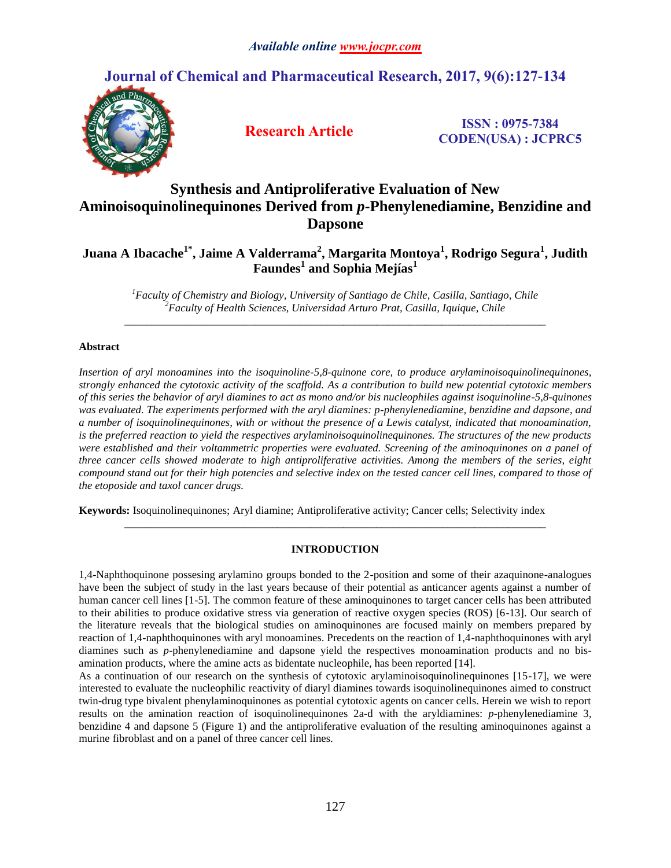# **Journal of Chemical and Pharmaceutical Research, 2017, 9(6):127-134**



**Research Article ISSN : 0975-7384 CODEN(USA) : JCPRC5**

# **Synthesis and Antiproliferative Evaluation of New Aminoisoquinolinequinones Derived from** *p***-Phenylenediamine, Benzidine and Dapsone**

**Juana A Ibacache1\*, Jaime A Valderrama<sup>2</sup> , Margarita Montoya<sup>1</sup> , Rodrigo Segura<sup>1</sup> , Judith Faundes<sup>1</sup> and Sophia Mejías<sup>1</sup>**

*<sup>1</sup>Faculty of Chemistry and Biology, University of Santiago de Chile, Casilla, Santiago, Chile <sup>2</sup>Faculty of Health Sciences, Universidad Arturo Prat, Casilla, Iquique, Chile \_\_\_\_\_\_\_\_\_\_\_\_\_\_\_\_\_\_\_\_\_\_\_\_\_\_\_\_\_\_\_\_\_\_\_\_\_\_\_\_\_\_\_\_\_\_\_\_\_\_\_\_\_\_\_\_\_\_\_\_\_\_\_\_\_\_\_\_\_\_\_\_\_\_\_\_\_*

# **Abstract**

*Insertion of aryl monoamines into the isoquinoline-5,8-quinone core, to produce arylaminoisoquinolinequinones, strongly enhanced the cytotoxic activity of the scaffold. As a contribution to build new potential cytotoxic members of this series the behavior of aryl diamines to act as mono and/or bis nucleophiles against isoquinoline-5,8-quinones was evaluated. The experiments performed with the aryl diamines: p-phenylenediamine, benzidine and dapsone, and a number of isoquinolinequinones, with or without the presence of a Lewis catalyst, indicated that monoamination, is the preferred reaction to yield the respectives arylaminoisoquinolinequinones. The structures of the new products were established and their voltammetric properties were evaluated. Screening of the aminoquinones on a panel of three cancer cells showed moderate to high antiproliferative activities. Among the members of the series, eight compound stand out for their high potencies and selective index on the tested cancer cell lines, compared to those of the etoposide and taxol cancer drugs.*

**Keywords:** Isoquinolinequinones; Aryl diamine; Antiproliferative activity; Cancer cells; Selectivity index

## **INTRODUCTION**

*\_\_\_\_\_\_\_\_\_\_\_\_\_\_\_\_\_\_\_\_\_\_\_\_\_\_\_\_\_\_\_\_\_\_\_\_\_\_\_\_\_\_\_\_\_\_\_\_\_\_\_\_\_\_\_\_\_\_\_\_\_\_\_\_\_\_\_\_\_\_\_\_\_\_\_\_\_*

1,4-Naphthoquinone possesing arylamino groups bonded to the 2-position and some of their azaquinone-analogues have been the subject of study in the last years because of their potential as anticancer agents against a number of human cancer cell lines [1-5]. The common feature of these aminoquinones to target cancer cells has been attributed to their abilities to produce oxidative stress via generation of reactive oxygen species (ROS) [6-13]. Our search of the literature reveals that the biological studies on aminoquinones are focused mainly on members prepared by reaction of 1,4-naphthoquinones with aryl monoamines. Precedents on the reaction of 1,4-naphthoquinones with aryl diamines such as *p*-phenylenediamine and dapsone yield the respectives monoamination products and no bisamination products, where the amine acts as bidentate nucleophile, has been reported [14].

As a continuation of our research on the synthesis of cytotoxic arylaminoisoquinolinequinones [15-17], we were interested to evaluate the nucleophilic reactivity of diaryl diamines towards isoquinolinequinones aimed to construct twin-drug type bivalent phenylaminoquinones as potential cytotoxic agents on cancer cells. Herein we wish to report results on the amination reaction of isoquinolinequinones 2a-d with the aryldiamines: *p*-phenylenediamine 3, benzidine 4 and dapsone 5 (Figure 1) and the antiproliferative evaluation of the resulting aminoquinones against a murine fibroblast and on a panel of three cancer cell lines.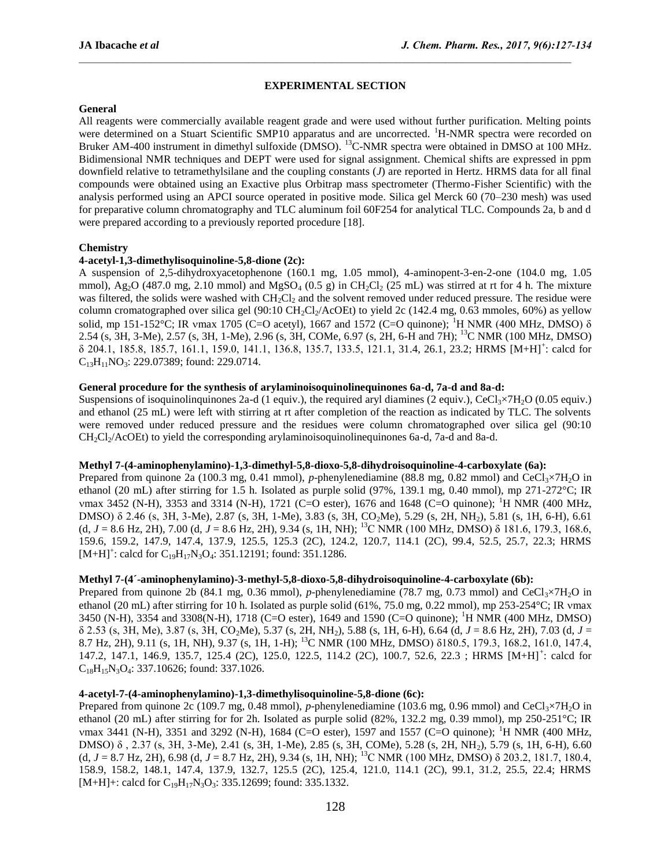# **EXPERIMENTAL SECTION**

## **General**

All reagents were commercially available reagent grade and were used without further purification. Melting points were determined on a Stuart Scientific SMP10 apparatus and are uncorrected. <sup>1</sup>H-NMR spectra were recorded on Bruker AM-400 instrument in dimethyl sulfoxide (DMSO). <sup>13</sup>C-NMR spectra were obtained in DMSO at 100 MHz. Bidimensional NMR techniques and DEPT were used for signal assignment. Chemical shifts are expressed in ppm downfield relative to tetramethylsilane and the coupling constants (*J*) are reported in Hertz. HRMS data for all final compounds were obtained using an Exactive plus Orbitrap mass spectrometer (Thermo-Fisher Scientific) with the analysis performed using an APCI source operated in positive mode. Silica gel Merck 60 (70–230 mesh) was used for preparative column chromatography and TLC aluminum foil 60F254 for analytical TLC. Compounds 2a, b and d were prepared according to a previously reported procedure [18].

## **Chemistry**

# **4-acetyl-1,3-dimethylisoquinoline-5,8-dione (2c):**

A suspension of 2,5-dihydroxyacetophenone (160.1 mg, 1.05 mmol), 4-aminopent-3-en-2-one (104.0 mg, 1.05 mmol), Ag<sub>2</sub>O (487.0 mg, 2.10 mmol) and MgSO<sub>4</sub> (0.5 g) in CH<sub>2</sub>Cl<sub>2</sub> (25 mL) was stirred at rt for 4 h. The mixture was filtered, the solids were washed with CH<sub>2</sub>Cl<sub>2</sub> and the solvent removed under reduced pressure. The residue were column cromatographed over silica gel (90:10 CH<sub>2</sub>Cl<sub>2</sub>/AcOEt) to yield 2c (142.4 mg, 0.63 mmoles, 60%) as yellow solid, mp 151-152°C; IR ymax 1705 (C=O acetyl), 1667 and 1572 (C=O quinone); <sup>1</sup>H NMR (400 MHz, DMSO) δ 2.54 (s, 3H, 3-Me), 2.57 (s, 3H, 1-Me), 2.96 (s, 3H, COMe, 6.97 (s, 2H, 6-H and 7H); <sup>13</sup>C NMR (100 MHz, DMSO) δ 204.1, 185.8, 185.7, 161.1, 159.0, 141.1, 136.8, 135.7, 133.5, 121.1, 31.4, 26.1, 23.2; HRMS [M+H]<sup>+</sup> : calcd for  $C_{13}H_{11}NO_3$ : 229.07389; found: 229.0714.

## **General procedure for the synthesis of arylaminoisoquinolinequinones 6a-d, 7a-d and 8a-d:**

Suspensions of isoquinolinguinones 2a-d (1 equiv.), the required aryl diamines (2 equiv.), CeCl<sub>3</sub>×7H<sub>2</sub>O (0.05 equiv.) and ethanol (25 mL) were left with stirring at rt after completion of the reaction as indicated by TLC. The solvents were removed under reduced pressure and the residues were column chromatographed over silica gel (90:10  $CH_2Cl_2/ACOE$  to yield the corresponding arylaminoisoquinolinequinones 6a-d, 7a-d and 8a-d.

## **Methyl 7-(4-aminophenylamino)-1,3-dimethyl-5,8-dioxo-5,8-dihydroisoquinoline-4-carboxylate (6a):**

Prepared from quinone 2a (100.3 mg, 0.41 mmol), *p*-phenylenediamine (88.8 mg, 0.82 mmol) and CeCl<sub>3</sub>×7H<sub>2</sub>O in ethanol (20 mL) after stirring for 1.5 h. Isolated as purple solid (97%, 139.1 mg, 0.40 mmol), mp 271-272°C; IR vmax 3452 (N-H), 3353 and 3314 (N-H), 1721 (C=O ester), 1676 and 1648 (C=O quinone); <sup>1</sup>H NMR (400 MHz, DMSO) δ 2.46 (s, 3H, 3-Me), 2.87 (s, 3H, 1-Me), 3.83 (s, 3H, CO2Me), 5.29 (s, 2H, NH2), 5.81 (s, 1H, 6-H), 6.61 (d, *J* = 8.6 Hz, 2H), 7.00 (d, *J* = 8.6 Hz, 2H), 9.34 (s, 1H, NH); <sup>13</sup>C NMR (100 MHz, DMSO) δ 181.6, 179.3, 168.6, 159.6, 159.2, 147.9, 147.4, 137.9, 125.5, 125.3 (2C), 124.2, 120.7, 114.1 (2C), 99.4, 52.5, 25.7, 22.3; HRMS  $[M+H]$ <sup>+</sup>: calcd for C<sub>19</sub>H<sub>17</sub>N<sub>3</sub>O<sub>4</sub>: 351.12191; found: 351.1286.

## **Methyl 7-(4´-aminophenylamino)-3-methyl-5,8-dioxo-5,8-dihydroisoquinoline-4-carboxylate (6b):**

Prepared from quinone 2b (84.1 mg, 0.36 mmol), *p*-phenylenediamine (78.7 mg, 0.73 mmol) and CeCl<sub>3</sub>×7H<sub>2</sub>O in ethanol (20 mL) after stirring for 10 h. Isolated as purple solid (61%, 75.0 mg, 0.22 mmol), mp 253-254°C; IR ymax 3450 (N-H), 3354 and 3308(N-H), 1718 (C=O ester), 1649 and 1590 (C=O quinone); <sup>1</sup>H NMR (400 MHz, DMSO) δ 2.53 (s, 3H, Me), 3.87 (s, 3H, CO2Me), 5.37 (s, 2H, NH2), 5.88 (s, 1H, 6-H), 6.64 (d, *J* = 8.6 Hz, 2H), 7.03 (d, *J* = 8.7 Hz, 2H), 9.11 (s, 1H, NH), 9.37 (s, 1H, 1-H); <sup>13</sup>C NMR (100 MHz, DMSO) δ180.5, 179.3, 168.2, 161.0, 147.4, 147.2, 147.1, 146.9, 135.7, 125.4 (2C), 125.0, 122.5, 114.2 (2C), 100.7, 52.6, 22.3; HRMS [M+H]<sup>+</sup>: calcd for  $C_{18}H_{15}N_3O_4$ : 337.10626; found: 337.1026.

## **4-acetyl-7-(4-aminophenylamino)-1,3-dimethylisoquinoline-5,8-dione (6c):**

Prepared from quinone 2c (109.7 mg, 0.48 mmol), *p*-phenylenediamine (103.6 mg, 0.96 mmol) and CeCl<sub>3</sub>×7H<sub>2</sub>O in ethanol (20 mL) after stirring for for 2h. Isolated as purple solid (82%, 132.2 mg, 0.39 mmol), mp 250-251°C; IR max 3441 (N-H), 3351 and 3292 (N-H), 1684 (C=O ester), 1597 and 1557 (C=O quinone); <sup>1</sup>H NMR (400 MHz, DMSO) δ , 2.37 (s, 3H, 3-Me), 2.41 (s, 3H, 1-Me), 2.85 (s, 3H, COMe), 5.28 (s, 2H, NH2), 5.79 (s, 1H, 6-H), 6.60 (d, *J* = 8.7 Hz, 2H), 6.98 (d, *J* = 8.7 Hz, 2H), 9.34 (s, 1H, NH); <sup>13</sup>C NMR (100 MHz, DMSO) δ 203.2, 181.7, 180.4, 158.9, 158.2, 148.1, 147.4, 137.9, 132.7, 125.5 (2C), 125.4, 121.0, 114.1 (2C), 99.1, 31.2, 25.5, 22.4; HRMS  $[M+H]+$ : calcd for C<sub>19</sub>H<sub>17</sub>N<sub>3</sub>O<sub>3</sub>: 335.12699; found: 335.1332.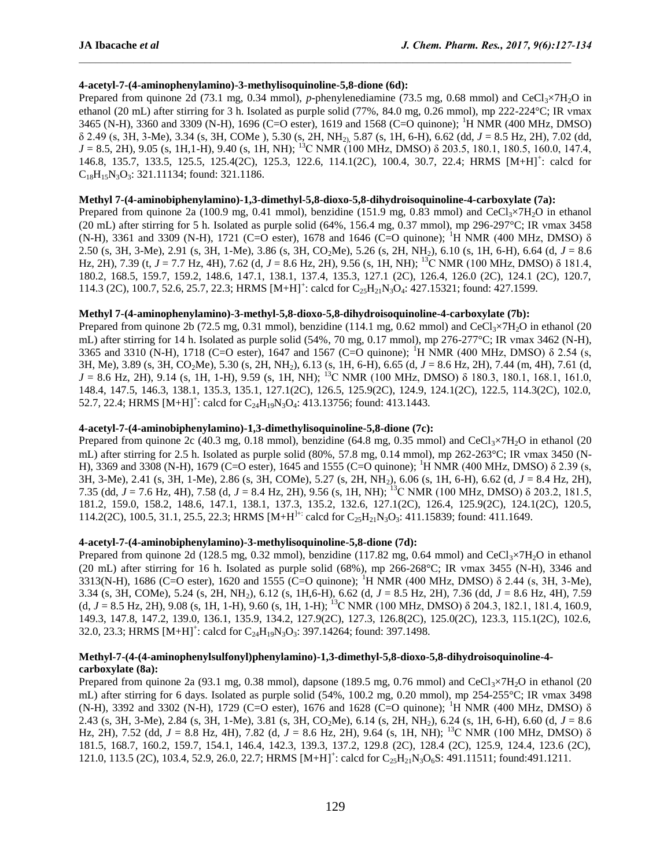# **4-acetyl-7-(4-aminophenylamino)-3-methylisoquinoline-5,8-dione (6d):**

Prepared from quinone 2d (73.1 mg, 0.34 mmol), *p*-phenylenediamine (73.5 mg, 0.68 mmol) and CeCl<sub>3</sub>×7H<sub>2</sub>O in ethanol (20 mL) after stirring for 3 h. Isolated as purple solid (77%, 84.0 mg, 0.26 mmol), mp 222-224°C; IR vmax 3465 (N-H), 3360 and 3309 (N-H), 1696 (C=O ester), 1619 and 1568 (C=O quinone); <sup>1</sup>H NMR (400 MHz, DMSO) δ 2.49 (s, 3H, 3-Me), 3.34 (s, 3H, COMe ), 5.30 (s, 2H, NH2), 5.87 (s, 1H, 6-H), 6.62 (dd, *J* = 8.5 Hz, 2H), 7.02 (dd, *J* = 8.5, 2H), 9.05 (s, 1H,1-H), 9.40 (s, 1H, NH); <sup>13</sup>C NMR (100 MHz, DMSO) δ 203.5, 180.1, 180.5, 160.0, 147.4, 146.8, 135.7, 133.5, 125.5, 125.4(2C), 125.3, 122.6, 114.1(2C), 100.4, 30.7, 22.4; HRMS [M+H]<sup>+</sup>: calcd for  $C_{18}H_{15}N_3O_3$ : 321.11134; found: 321.1186.

## **Methyl 7-(4-aminobiphenylamino)-1,3-dimethyl-5,8-dioxo-5,8-dihydroisoquinoline-4-carboxylate (7a):**

Prepared from quinone 2a (100.9 mg, 0.41 mmol), benzidine (151.9 mg, 0.83 mmol) and CeCl<sub>3</sub>×7H<sub>2</sub>O in ethanol (20 mL) after stirring for 5 h. Isolated as purple solid (64%, 156.4 mg, 0.37 mmol), mp 296-297°C; IR ymax 3458 (N-H), 3361 and 3309 (N-H), 1721 (C=O ester), 1678 and 1646 (C=O quinone); <sup>1</sup>H NMR (400 MHz, DMSO) δ 2.50 (s, 3H, 3-Me), 2.91 (s, 3H, 1-Me), 3.86 (s, 3H, CO2Me), 5.26 (s, 2H, NH2), 6.10 (s, 1H, 6-H), 6.64 (d, *J* = 8.6 Hz, 2H), 7.39 (t, *J* = 7.7 Hz, 4H), 7.62 (d, *J* = 8.6 Hz, 2H), 9.56 (s, 1H, NH); <sup>13</sup>C NMR (100 MHz, DMSO) δ 181.4, 180.2, 168.5, 159.7, 159.2, 148.6, 147.1, 138.1, 137.4, 135.3, 127.1 (2C), 126.4, 126.0 (2C), 124.1 (2C), 120.7, 114.3 (2C), 100.7, 52.6, 25.7, 22.3; HRMS [M+H]<sup>+</sup>: calcd for C<sub>25</sub>H<sub>21</sub>N<sub>3</sub>O<sub>4</sub>: 427.15321; found: 427.1599.

## **Methyl 7-(4-aminophenylamino)-3-methyl-5,8-dioxo-5,8-dihydroisoquinoline-4-carboxylate (7b):**

Prepared from quinone 2b (72.5 mg, 0.31 mmol), benzidine (114.1 mg, 0.62 mmol) and CeCl<sub>3</sub>×7H<sub>2</sub>O in ethanol (20 mL) after stirring for 14 h. Isolated as purple solid  $(54\%, 70 \text{ mg}, 0.17 \text{ mmol})$ , mp  $276\text{-}277\text{°C}$ ; IR vmax 3462 (N-H), 3365 and 3310 (N-H), 1718 (C=O ester), 1647 and 1567 (C=O quinone); <sup>1</sup>H NMR (400 MHz, DMSO)  $\delta$  2.54 (s, 3H, Me), 3.89 (s, 3H, CO2Me), 5.30 (s, 2H, NH2), 6.13 (s, 1H, 6-H), 6.65 (d, *J* = 8.6 Hz, 2H), 7.44 (m, 4H), 7.61 (d, *J* = 8.6 Hz, 2H), 9.14 (s, 1H, 1-H), 9.59 (s, 1H, NH); <sup>13</sup>C NMR (100 MHz, DMSO) δ 180.3, 180.1, 168.1, 161.0, 148.4, 147.5, 146.3, 138.1, 135.3, 135.1, 127.1(2C), 126.5, 125.9(2C), 124.9, 124.1(2C), 122.5, 114.3(2C), 102.0, 52.7, 22.4; HRMS  $[M+H]^{+}$ : calcd for  $C_{24}H_{19}N_3O_4$ : 413.13756; found: 413.1443.

### **4-acetyl-7-(4-aminobiphenylamino)-1,3-dimethylisoquinoline-5,8-dione (7c):**

Prepared from quinone 2c (40.3 mg, 0.18 mmol), benzidine (64.8 mg, 0.35 mmol) and CeCl<sub>3</sub>×7H<sub>2</sub>O in ethanol (20 mL) after stirring for 2.5 h. Isolated as purple solid  $(80\%$ , 57.8 mg, 0.14 mmol), mp 262-263°C; IR ymax 3450 (N-H), 3369 and 3308 (N-H), 1679 (C=O ester), 1645 and 1555 (C=O quinone); <sup>1</sup>H NMR (400 MHz, DMSO) δ 2.39 (s, 3H, 3-Me), 2.41 (s, 3H, 1-Me), 2.86 (s, 3H, COMe), 5.27 (s, 2H, NH2), 6.06 (s, 1H, 6-H), 6.62 (d, *J* = 8.4 Hz, 2H), 7.35 (dd, *J* = 7.6 Hz, 4H), 7.58 (d, *J* = 8.4 Hz, 2H), 9.56 (s, 1H, NH); <sup>13</sup>C NMR (100 MHz, DMSO) δ 203.2, 181.5, 181.2, 159.0, 158.2, 148.6, 147.1, 138.1, 137.3, 135.2, 132.6, 127.1(2C), 126.4, 125.9(2C), 124.1(2C), 120.5, 114.2(2C), 100.5, 31.1, 25.5, 22.3; HRMS  $[M+H^{H+}$ : calcd for  $C_{25}H_{21}N_3O_3$ : 411.15839; found: 411.1649.

## **4-acetyl-7-(4-aminobiphenylamino)-3-methylisoquinoline-5,8-dione (7d):**

Prepared from quinone 2d (128.5 mg, 0.32 mmol), benzidine (117.82 mg, 0.64 mmol) and CeCl<sub>3</sub>×7H<sub>2</sub>O in ethanol (20 mL) after stirring for 16 h. Isolated as purple solid  $(68\%)$ , mp 266-268°C; IR vmax 3455 (N-H), 3346 and 3313(N-H), 1686 (C=O ester), 1620 and 1555 (C=O quinone); <sup>1</sup>H NMR (400 MHz, DMSO)  $\delta$  2.44 (s, 3H, 3-Me), 3.34 (s, 3H, COMe), 5.24 (s, 2H, NH2), 6.12 (s, 1H,6-H), 6.62 (d, *J* = 8.5 Hz, 2H), 7.36 (dd, *J* = 8.6 Hz, 4H), 7.59 (d,  $J = 8.5$  Hz, 2H), 9.08 (s, 1H, 1-H), 9.60 (s, 1H, 1-H); <sup>13</sup>C NMR (100 MHz, DMSO)  $\delta$  204.3, 182.1, 181.4, 160.9, 149.3, 147.8, 147.2, 139.0, 136.1, 135.9, 134.2, 127.9(2C), 127.3, 126.8(2C), 125.0(2C), 123.3, 115.1(2C), 102.6, 32.0, 23.3; HRMS  $[M+H]^2$ : calcd for  $C_{24}H_{19}N_3O_3$ : 397.14264; found: 397.1498.

# **Methyl-7-(4-(4-aminophenylsulfonyl)phenylamino)-1,3-dimethyl-5,8-dioxo-5,8-dihydroisoquinoline-4 carboxylate (8a):**

Prepared from quinone 2a (93.1 mg, 0.38 mmol), dapsone (189.5 mg, 0.76 mmol) and CeCl<sub>3</sub>×7H<sub>2</sub>O in ethanol (20 mL) after stirring for 6 days. Isolated as purple solid (54%, 100.2 mg, 0.20 mmol), mp 254-255°C; IR ymax 3498 (N-H), 3392 and 3302 (N-H), 1729 (C=O ester), 1676 and 1628 (C=O quinone); <sup>1</sup>H NMR (400 MHz, DMSO)  $\delta$ 2.43 (s, 3H, 3-Me), 2.84 (s, 3H, 1-Me), 3.81 (s, 3H, CO2Me), 6.14 (s, 2H, NH2), 6.24 (s, 1H, 6-H), 6.60 (d, *J* = 8.6 Hz, 2H), 7.52 (dd, *J* = 8.8 Hz, 4H), 7.82 (d, *J* = 8.6 Hz, 2H), 9.64 (s, 1H, NH); <sup>13</sup>C NMR (100 MHz, DMSO) δ 181.5, 168.7, 160.2, 159.7, 154.1, 146.4, 142.3, 139.3, 137.2, 129.8 (2C), 128.4 (2C), 125.9, 124.4, 123.6 (2C), 121.0, 113.5 (2C), 103.4, 52.9, 26.0, 22.7; HRMS  $[M+H]^+$ : calcd for  $C_{25}H_{21}N_3O_6S$ : 491.11511; found:491.1211.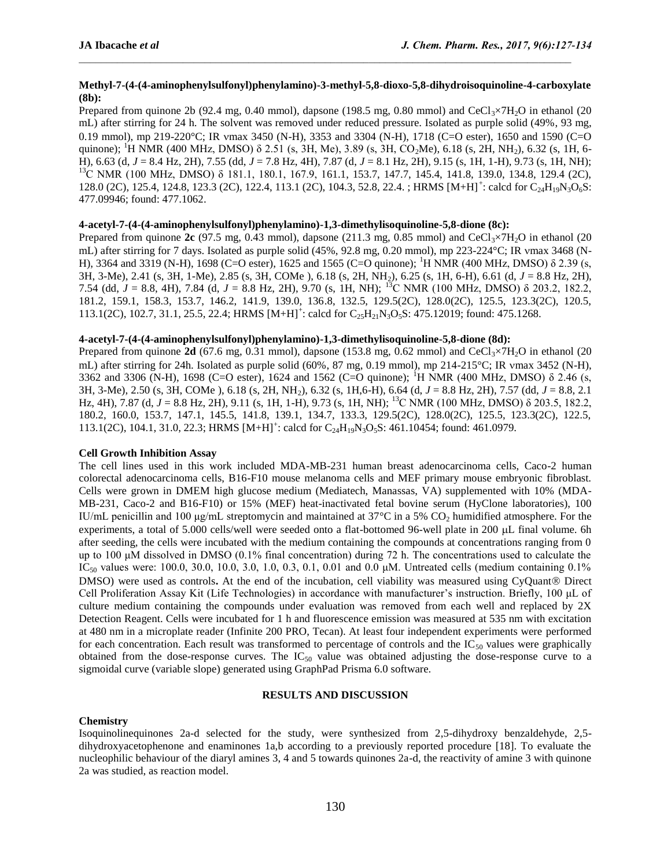## **Methyl-7-(4-(4-aminophenylsulfonyl)phenylamino)-3-methyl-5,8-dioxo-5,8-dihydroisoquinoline-4-carboxylate (8b):**

Prepared from quinone 2b (92.4 mg, 0.40 mmol), dapsone (198.5 mg, 0.80 mmol) and CeCl<sub>3</sub>×7H<sub>2</sub>O in ethanol (20 mL) after stirring for 24 h. The solvent was removed under reduced pressure. Isolated as purple solid (49%, 93 mg, 0.19 mmol), mp 219-220°C; IR max 3450 (N-H), 3353 and 3304 (N-H), 1718 (C=O ester), 1650 and 1590 (C=O quinone); <sup>1</sup>H NMR (400 MHz, DMSO)  $\delta$  2.51 (s, 3H, Me), 3.89 (s, 3H, CO<sub>2</sub>Me), 6.18 (s, 2H, NH<sub>2</sub>), 6.32 (s, 1H, 6-H), 6.63 (d, *J* = 8.4 Hz, 2H), 7.55 (dd, *J* = 7.8 Hz, 4H), 7.87 (d, *J* = 8.1 Hz, 2H), 9.15 (s, 1H, 1-H), 9.73 (s, 1H, NH); <sup>13</sup>C NMR (100 MHz, DMSO) δ 181.1, 180.1, 167.9, 161.1, 153.7, 147.7, 145.4, 141.8, 139.0, 134.8, 129.4 (2C), 128.0 (2C), 125.4, 124.8, 123.3 (2C), 122.4, 113.1 (2C), 104.3, 52.8, 22.4. ; HRMS [M+H]<sup>+</sup>: calcd for C<sub>24</sub>H<sub>19</sub>N<sub>3</sub>O<sub>6</sub>S: 477.09946; found: 477.1062.

## **4-acetyl-7-(4-(4-aminophenylsulfonyl)phenylamino)-1,3-dimethylisoquinoline-5,8-dione (8c):**

Prepared from quinone  $2c$  (97.5 mg, 0.43 mmol), dapsone (211.3 mg, 0.85 mmol) and CeCl<sub>3</sub>×7H<sub>2</sub>O in ethanol (20 mL) after stirring for 7 days. Isolated as purple solid (45%, 92.8 mg, 0.20 mmol), mp 223-224°C; IR vmax 3468 (N-H), 3364 and 3319 (N-H), 1698 (C=O ester), 1625 and 1565 (C=O quinone); <sup>1</sup>H NMR (400 MHz, DMSO) δ 2.39 (s, 3H, 3-Me), 2.41 (s, 3H, 1-Me), 2.85 (s, 3H, COMe ), 6.18 (s, 2H, NH2), 6.25 (s, 1H, 6-H), 6.61 (d, *J* = 8.8 Hz, 2H), 7.54 (dd, *J* = 8.8, 4H), 7.84 (d, *J* = 8.8 Hz, 2H), 9.70 (s, 1H, NH); <sup>13</sup>C NMR (100 MHz, DMSO) δ 203.2, 182.2, 181.2, 159.1, 158.3, 153.7, 146.2, 141.9, 139.0, 136.8, 132.5, 129.5(2C), 128.0(2C), 125.5, 123.3(2C), 120.5, 113.1(2C), 102.7, 31.1, 25.5, 22.4; HRMS  $[M+H]^+$ : calcd for  $C_{25}H_{21}N_3O_5S$ : 475.12019; found: 475.1268.

### **4-acetyl-7-(4-(4-aminophenylsulfonyl)phenylamino)-1,3-dimethylisoquinoline-5,8-dione (8d):**

Prepared from quinone **2d** (67.6 mg, 0.31 mmol), dapsone (153.8 mg, 0.62 mmol) and CeCl<sub>3</sub>×7H<sub>2</sub>O in ethanol (20 mL) after stirring for 24h. Isolated as purple solid  $(60\%, 87 \text{ mg}, 0.19 \text{ mmol})$ , mp  $214\text{-}215\text{°C}$ ; IR vmax 3452 (N-H), 3362 and 3306 (N-H), 1698 (C=O ester), 1624 and 1562 (C=O quinone); <sup>1</sup>H NMR (400 MHz, DMSO)  $\delta$  2.46 (s, 3H, 3-Me), 2.50 (s, 3H, COMe ), 6.18 (s, 2H, NH2), 6.32 (s, 1H,6-H), 6.64 (d, *J* = 8.8 Hz, 2H), 7.57 (dd, *J* = 8.8, 2.1 Hz, 4H), 7.87 (d, *J* = 8.8 Hz, 2H), 9.11 (s, 1H, 1-H), 9.73 (s, 1H, NH); <sup>13</sup>C NMR (100 MHz, DMSO) δ 203.5, 182.2, 180.2, 160.0, 153.7, 147.1, 145.5, 141.8, 139.1, 134.7, 133.3, 129.5(2C), 128.0(2C), 125.5, 123.3(2C), 122.5, 113.1(2C), 104.1, 31.0, 22.3; HRMS [M+H]<sup>+</sup>: calcd for C<sub>24</sub>H<sub>19</sub>N<sub>3</sub>O<sub>5</sub>S: 461.10454; found: 461.0979.

### **Cell Growth Inhibition Assay**

The cell lines used in this work included MDA-MB-231 human breast adenocarcinoma cells, Caco-2 human colorectal adenocarcinoma cells, B16-F10 mouse melanoma cells and MEF primary mouse embryonic fibroblast. Cells were grown in DMEM high glucose medium (Mediatech, Manassas, VA) supplemented with 10% (MDA-MB-231, Caco-2 and B16-F10) or 15% (MEF) heat-inactivated fetal bovine serum (HyClone laboratories), 100 IU/mL penicillin and 100 μg/mL streptomycin and maintained at 37 $\degree$ C in a 5% CO<sub>2</sub> humidified atmosphere. For the experiments, a total of 5.000 cells/well were seeded onto a flat-bottomed 96-well plate in 200 µL final volume. 6h after seeding, the cells were incubated with the medium containing the compounds at concentrations ranging from 0 up to 100 μM dissolved in DMSO  $(0.1\%$  final concentration) during 72 h. The concentrations used to calculate the IC<sub>50</sub> values were: 100.0, 30.0, 10.0, 3.0, 1.0, 0.3, 0.1, 0.01 and 0.0 μM. Untreated cells (medium containing 0.1%) DMSO) were used as controls. At the end of the incubation, cell viability was measured using CyQuant<sup>®</sup> Direct Cell Proliferation Assay Kit (Life Technologies) in accordance with manufacturer's instruction. Briefly, 100 μL of culture medium containing the compounds under evaluation was removed from each well and replaced by 2X Detection Reagent. Cells were incubated for 1 h and fluorescence emission was measured at 535 nm with excitation at 480 nm in a microplate reader (Infinite 200 PRO, Tecan). At least four independent experiments were performed for each concentration. Each result was transformed to percentage of controls and the  $IC_{50}$  values were graphically obtained from the dose-response curves. The  $IC_{50}$  value was obtained adjusting the dose-response curve to a sigmoidal curve (variable slope) generated using GraphPad Prisma 6.0 software.

## **RESULTS AND DISCUSSION**

## **Chemistry**

Isoquinolinequinones 2a-d selected for the study, were synthesized from 2,5-dihydroxy benzaldehyde, 2,5 dihydroxyacetophenone and enaminones 1a,b according to a previously reported procedure [18]. To evaluate the nucleophilic behaviour of the diaryl amines 3, 4 and 5 towards quinones 2a-d, the reactivity of amine 3 with quinone 2a was studied, as reaction model.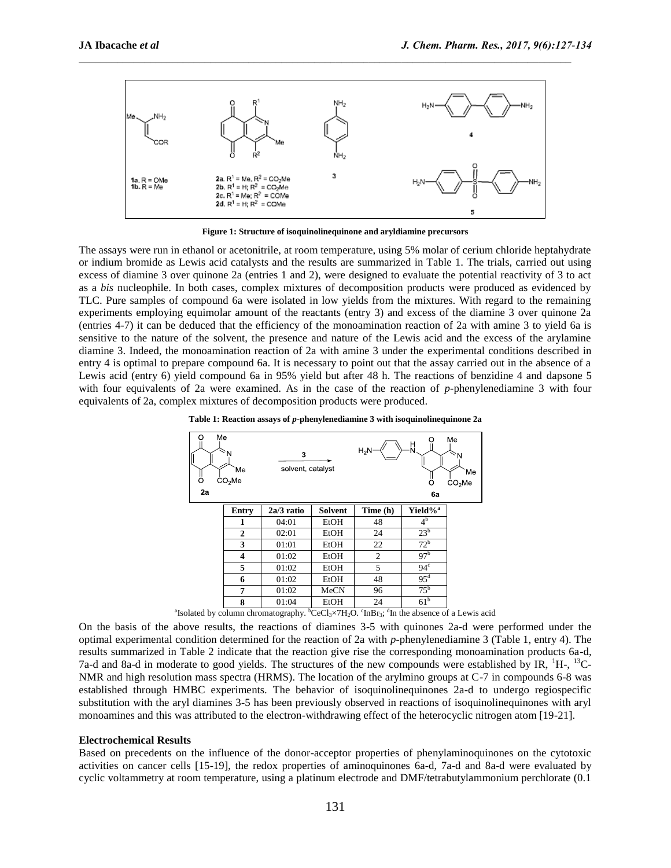

**Figure 1: Structure of isoquinolinequinone and aryldiamine precursors**

The assays were run in ethanol or acetonitrile, at room temperature, using 5% molar of cerium chloride heptahydrate or indium bromide as Lewis acid catalysts and the results are summarized in Table 1. The trials, carried out using excess of diamine 3 over quinone 2a (entries 1 and 2), were designed to evaluate the potential reactivity of 3 to act as a *bis* nucleophile. In both cases, complex mixtures of decomposition products were produced as evidenced by TLC. Pure samples of compound 6a were isolated in low yields from the mixtures. With regard to the remaining experiments employing equimolar amount of the reactants (entry 3) and excess of the diamine 3 over quinone 2a (entries 4-7) it can be deduced that the efficiency of the monoamination reaction of 2a with amine 3 to yield 6a is sensitive to the nature of the solvent, the presence and nature of the Lewis acid and the excess of the arylamine diamine 3. Indeed, the monoamination reaction of 2a with amine 3 under the experimental conditions described in entry 4 is optimal to prepare compound 6a. It is necessary to point out that the assay carried out in the absence of a Lewis acid (entry 6) yield compound 6a in 95% yield but after 48 h. The reactions of benzidine 4 and dapsone 5 with four equivalents of 2a were examined. As in the case of the reaction of *p-*phenylenediamine 3 with four equivalents of 2a, complex mixtures of decomposition products were produced.





<sup>a</sup>Isolated by column chromatography.  ${}^{b}CeCl_{3} \times 7H_{2}O$ .  ${}^{c}InBr_{3}$ ;  ${}^{d}In$  the absence of a Lewis acid

On the basis of the above results, the reactions of diamines 3-5 with quinones 2a-d were performed under the optimal experimental condition determined for the reaction of 2a with *p*-phenylenediamine 3 (Table 1, entry 4). The results summarized in Table 2 indicate that the reaction give rise the corresponding monoamination products 6a-d, 7a-d and 8a-d in moderate to good yields. The structures of the new compounds were established by IR, <sup>1</sup>H-, <sup>13</sup>C-NMR and high resolution mass spectra (HRMS). The location of the arylmino groups at C-7 in compounds 6-8 was established through HMBC experiments. The behavior of isoquinolinequinones 2a-d to undergo regiospecific substitution with the aryl diamines 3-5 has been previously observed in reactions of isoquinolinequinones with aryl monoamines and this was attributed to the electron-withdrawing effect of the heterocyclic nitrogen atom [19-21].

#### **Electrochemical Results**

Based on precedents on the influence of the donor-acceptor properties of phenylaminoquinones on the cytotoxic activities on cancer cells [15-19], the redox properties of aminoquinones 6a-d, 7a-d and 8a-d were evaluated by cyclic voltammetry at room temperature, using a platinum electrode and DMF/tetrabutylammonium perchlorate (0.1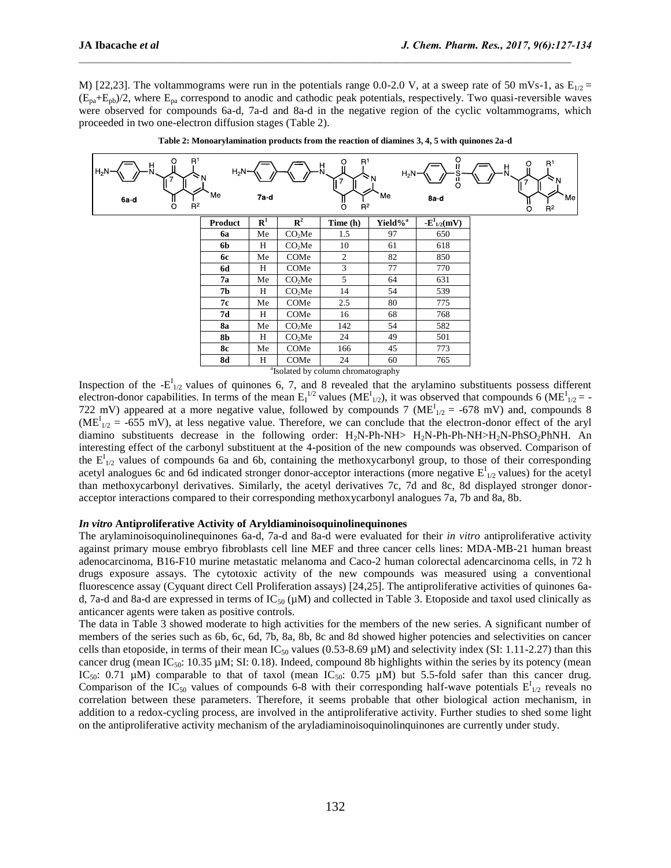M) [22,23]. The voltammograms were run in the potentials range 0.0-2.0 V, at a sweep rate of 50 mVs-1, as  $E_{1/2}$  =  $(E_{pa}+E_{pb})/2$ , where  $E_{pa}$  correspond to anodic and cathodic peak potentials, respectively. Two quasi-reversible waves were observed for compounds 6a-d, 7a-d and 8a-d in the negative region of the cyclic voltammograms, which proceeded in two one-electron diffusion stages (Table 2).



**Table 2: Monoarylamination products from the reaction of diamines 3, 4, 5 with quinones 2a-d**

a Isolated by column chromatography

Inspection of the  $-E_{1/2}^I$  values of quinones 6, 7, and 8 revealed that the arylamino substituents possess different electron-donor capabilities. In terms of the mean  $E_1^{1/2}$  values (ME<sup>I</sup><sub>1/2</sub>), it was observed that compounds 6 (ME<sup>I</sup><sub>1/2</sub> = -722 mV) appeared at a more negative value, followed by compounds 7 ( $ME_{1/2}^I = -678$  mV) and, compounds 8  $(ME<sup>I</sup><sub>1/2</sub> = -655$  mV), at less negative value. Therefore, we can conclude that the electron-donor effect of the aryl diamino substituents decrease in the following order:  $H_2N-Ph-NH > H_2N-Ph-NH > H_2N-PhSO_2PhNH$ . An interesting effect of the carbonyl substituent at the 4-position of the new compounds was observed. Comparison of the  $E_{1/2}^{I}$  values of compounds 6a and 6b, containing the methoxycarbonyl group, to those of their corresponding acetyl analogues 6c and 6d indicated stronger donor-acceptor interactions (more negative  $E_{1/2}^I$  values) for the acetyl than methoxycarbonyl derivatives. Similarly, the acetyl derivatives 7c, 7d and 8c, 8d displayed stronger donoracceptor interactions compared to their corresponding methoxycarbonyl analogues 7a, 7b and 8a, 8b.

#### *In vitro* **Antiproliferative Activity of Aryldiaminoisoquinolinequinones**

The arylaminoisoquinolinequinones 6a-d, 7a-d and 8a-d were evaluated for their *in vitro* antiproliferative activity against primary mouse embryo fibroblasts cell line MEF and three cancer cells lines: MDA-MB-21 human breast adenocarcinoma, B16-F10 murine metastatic melanoma and Caco-2 human colorectal adencarcinoma cells, in 72 h drugs exposure assays. The cytotoxic activity of the new compounds was measured using a conventional fluorescence assay (Cyquant direct Cell Proliferation assays) [24,25]. The antiproliferative activities of quinones 6ad, 7a-d and 8a-d are expressed in terms of  $IC_{50}$  ( $µ$ M) and collected in Table 3. Etoposide and taxol used clinically as anticancer agents were taken as positive controls.

The data in Table 3 showed moderate to high activities for the members of the new series. A significant number of members of the series such as 6b, 6c, 6d, 7b, 8a, 8b, 8c and 8d showed higher potencies and selectivities on cancer cells than etoposide, in terms of their mean  $IC_{50}$  values (0.53-8.69  $\mu$ M) and selectivity index (SI: 1.11-2.27) than this cancer drug (mean IC<sub>50</sub>: 10.35  $\mu$ M; SI: 0.18). Indeed, compound 8b highlights within the series by its potency (mean IC<sub>50</sub>: 0.71  $\mu$ M) comparable to that of taxol (mean IC<sub>50</sub>: 0.75  $\mu$ M) but 5.5-fold safer than this cancer drug. Comparison of the  $IC_{50}$  values of compounds 6-8 with their corresponding half-wave potentials  $E_{1/2}^I$  reveals no correlation between these parameters. Therefore, it seems probable that other biological action mechanism, in addition to a redox-cycling process, are involved in the antiproliferative activity. Further studies to shed some light on the antiproliferative activity mechanism of the aryladiaminoisoquinolinquinones are currently under study.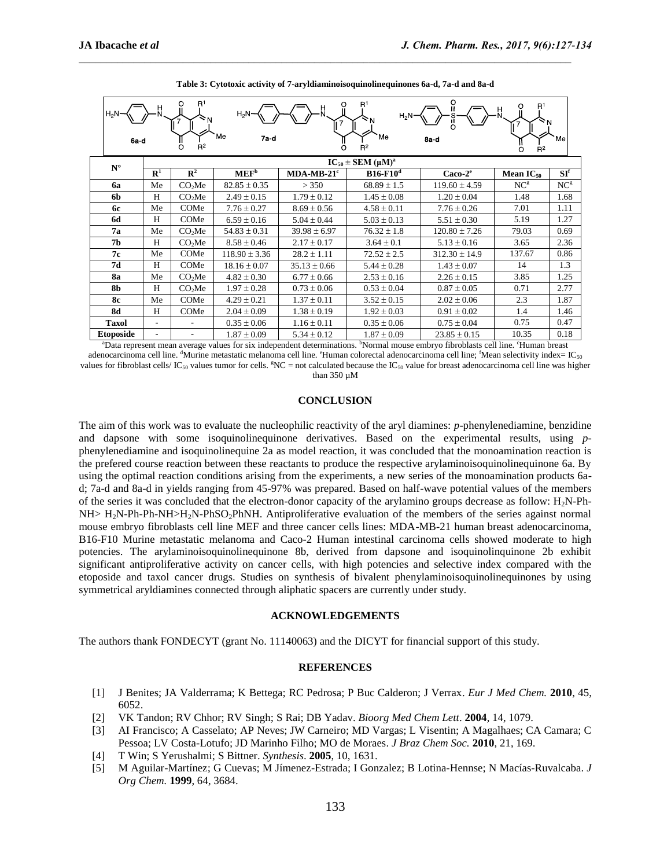| O<br>R <sup>1</sup><br>R <sup>1</sup><br>O<br>R <sup>1</sup><br>Ч.<br>뷰<br>Ш<br>H.<br>$H_2N$<br>$H_2N$ -<br>$H_2N-$<br>Me<br>'Me<br>7a d<br>Me<br>8a d<br>6a d<br>$R^2$<br>$R^2$<br>O<br>O<br>$R^2$ |                               |                    |                   |                  |                 |                   |                 |                 |
|-----------------------------------------------------------------------------------------------------------------------------------------------------------------------------------------------------|-------------------------------|--------------------|-------------------|------------------|-----------------|-------------------|-----------------|-----------------|
| $N^{\circ}$                                                                                                                                                                                         | $IC_{50} \pm SEM \ (\mu M)^a$ |                    |                   |                  |                 |                   |                 |                 |
|                                                                                                                                                                                                     | $\mathbf{R}^1$                | $\mathbb{R}^2$     | MEF <sup>b</sup>  | $MDA-MB-21c$     | $B16-F10d$      | $Caco-2e$         | Mean $IC_{50}$  | SI <sup>f</sup> |
| 6a                                                                                                                                                                                                  | Me                            | CO <sub>2</sub> Me | $82.85 \pm 0.35$  | > 350            | $68.89 \pm 1.5$ | $119.60 \pm 4.59$ | NC <sup>g</sup> | NC <sup>g</sup> |
| 6b                                                                                                                                                                                                  | H                             | CO <sub>2</sub> Me | $2.49 \pm 0.15$   | $1.79 \pm 0.12$  | $1.45 \pm 0.08$ | $1.20 \pm 0.04$   | 1.48            | 1.68            |
| 6с                                                                                                                                                                                                  | Me                            | COMe               | $7.76 \pm 0.27$   | $8.69 \pm 0.56$  | $4.58 \pm 0.11$ | $7.76 \pm 0.26$   | 7.01            | 1.11            |
| <b>6d</b>                                                                                                                                                                                           | H                             | COMe               | $6.59 \pm 0.16$   | $5.04 \pm 0.44$  | $5.03 \pm 0.13$ | $5.51 \pm 0.30$   | 5.19            | 1.27            |
| 7a                                                                                                                                                                                                  | Me                            | CO <sub>2</sub> Me | $54.83 \pm 0.31$  | $39.98 \pm 6.97$ | $76.32 \pm 1.8$ | $120.80 \pm 7.26$ | 79.03           | 0.69            |
| 7 <sub>b</sub>                                                                                                                                                                                      | H                             | CO <sub>2</sub> Me | $8.58 \pm 0.46$   | $2.17 \pm 0.17$  | $3.64 \pm 0.1$  | $5.13 \pm 0.16$   | 3.65            | 2.36            |
| 7с                                                                                                                                                                                                  | Me                            | COMe               | $118.90 \pm 3.36$ | $28.2 \pm 1.11$  | $72.52 \pm 2.5$ | $312.30 \pm 14.9$ | 137.67          | 0.86            |
| 7d                                                                                                                                                                                                  | H                             | COMe               | $18.16 \pm 0.07$  | $35.13 \pm 0.66$ | $5.44 \pm 0.28$ | $1.43 \pm 0.07$   | 14              | 1.3             |
| <b>8a</b>                                                                                                                                                                                           | Me                            | CO <sub>2</sub> Me | $4.82 \pm 0.30$   | $6.77 \pm 0.66$  | $2.53 \pm 0.16$ | $2.26 \pm 0.15$   | 3.85            | 1.25            |
| <b>8b</b>                                                                                                                                                                                           | H                             | CO <sub>2</sub> Me | $1.97 \pm 0.28$   | $0.73 \pm 0.06$  | $0.53 \pm 0.04$ | $0.87 \pm 0.05$   | 0.71            | 2.77            |
| <b>8c</b>                                                                                                                                                                                           | Me                            | COMe               | $4.29 \pm 0.21$   | $1.37 \pm 0.11$  | $3.52 \pm 0.15$ | $2.02 \pm 0.06$   | 2.3             | 1.87            |
| <b>8d</b>                                                                                                                                                                                           | H                             | COMe               | $2.04 \pm 0.09$   | $1.38 \pm 0.19$  | $1.92 \pm 0.03$ | $0.91 \pm 0.02$   | 1.4             | 1.46            |
| <b>Taxol</b>                                                                                                                                                                                        | $\overline{\phantom{0}}$      |                    | $0.35 \pm 0.06$   | $1.16 \pm 0.11$  | $0.35 \pm 0.06$ | $0.75 \pm 0.04$   | 0.75            | 0.47            |
| <b>Etoposide</b>                                                                                                                                                                                    |                               |                    | $1.87 \pm 0.09$   | $5.34 \pm 0.12$  | $1.87 \pm 0.09$ | $23.85 \pm 0.15$  | 10.35           | 0.18            |

**Table 3: Cytotoxic activity of 7-aryldiaminoisoquinolinequinones 6a-d, 7a-d and 8a-d**

<sup>a</sup>Data represent mean average values for six independent determinations. <sup>b</sup>Normal mouse embryo fibroblasts cell line. <sup>c</sup>Human breast adenocarcinoma cell line.  $d$ Murine metastatic melanoma cell line.  $d$ Human colorectal adenocarcinoma cell line;  $d$ Mean selectivity index= IC<sub>50</sub> values for fibroblast cells/ IC<sub>50</sub> values tumor for cells. <sup>g</sup>NC = not calculated because the IC<sub>50</sub> value for breast adenocarcinoma cell line was higher than 350 µM

#### **CONCLUSION**

The aim of this work was to evaluate the nucleophilic reactivity of the aryl diamines: *p*-phenylenediamine, benzidine and dapsone with some isoquinolinequinone derivatives. Based on the experimental results, using *p*phenylenediamine and isoquinolinequine 2a as model reaction, it was concluded that the monoamination reaction is the prefered course reaction between these reactants to produce the respective arylaminoisoquinolinequinone 6a. By using the optimal reaction conditions arising from the experiments, a new series of the monoamination products 6ad; 7a-d and 8a-d in yields ranging from 45-97% was prepared. Based on half-wave potential values of the members of the series it was concluded that the electron-donor capacity of the arylamino groups decrease as follow:  $H_2N-Ph NH > H<sub>2</sub>N-Ph-NH > H<sub>2</sub>N-PhSO<sub>2</sub>PhNH.$  Antiproliferative evaluation of the members of the series against normal mouse embryo fibroblasts cell line MEF and three cancer cells lines: MDA-MB-21 human breast adenocarcinoma, B16-F10 Murine metastatic melanoma and Caco-2 Human intestinal carcinoma cells showed moderate to high potencies. The arylaminoisoquinolinequinone 8b, derived from dapsone and isoquinolinquinone 2b exhibit significant antiproliferative activity on cancer cells, with high potencies and selective index compared with the etoposide and taxol cancer drugs. Studies on synthesis of bivalent phenylaminoisoquinolinequinones by using symmetrical aryldiamines connected through aliphatic spacers are currently under study.

#### **ACKNOWLEDGEMENTS**

The authors thank FONDECYT (grant No. 11140063) and the DICYT for financial support of this study.

#### **REFERENCES**

- [1] J Benites; JA Valderrama; K Bettega; RC Pedrosa; P Buc Calderon; J Verrax. *Eur J Med Chem.* **2010**, 45, 6052.
- [2] VK Tandon; RV Chhor; RV Singh; S Rai; DB Yadav. *Bioorg Med Chem Lett*. **2004**, 14, 1079.
- [3] AI Francisco; A Casselato; AP Neves; JW Carneiro; MD Vargas; L Visentin; A Magalhaes; CA Camara; C Pessoa; LV Costa-Lotufo; JD Marinho Filho; MO de Moraes. *J Braz Chem Soc.* **2010**, 21, 169.
- [4] T Win; S Yerushalmi; S Bittner. *Synthesis*. **2005**, 10, 1631.
- [5] M Aguilar-Martínez; G Cuevas; M Jímenez-Estrada; I Gonzalez; B Lotina-Hennse; N Macías-Ruvalcaba. *J Org Chem.* **1999**, 64, 3684.